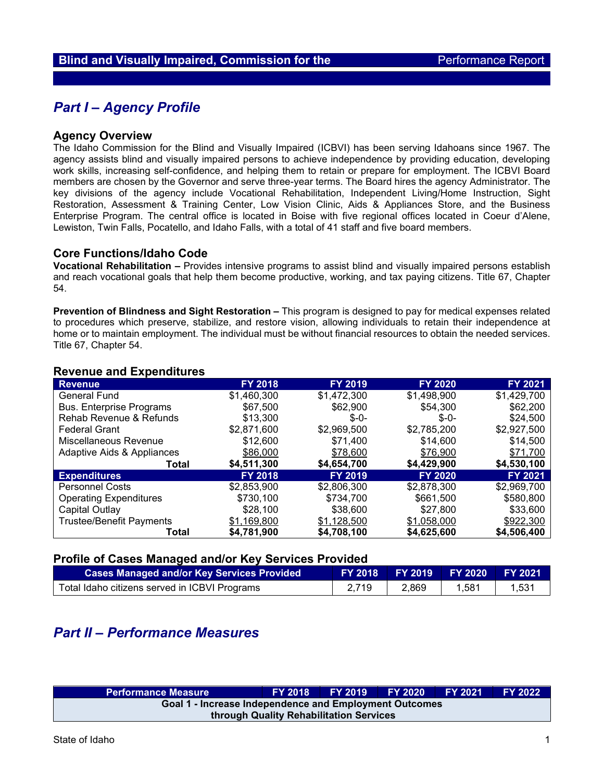## *Part I – Agency Profile*

### **Agency Overview**

The Idaho Commission for the Blind and Visually Impaired (ICBVI) has been serving Idahoans since 1967. The agency assists blind and visually impaired persons to achieve independence by providing education, developing work skills, increasing self-confidence, and helping them to retain or prepare for employment. The ICBVI Board members are chosen by the Governor and serve three-year terms. The Board hires the agency Administrator. The key divisions of the agency include Vocational Rehabilitation, Independent Living/Home Instruction, Sight Restoration, Assessment & Training Center, Low Vision Clinic, Aids & Appliances Store, and the Business Enterprise Program. The central office is located in Boise with five regional offices located in Coeur d'Alene, Lewiston, Twin Falls, Pocatello, and Idaho Falls, with a total of 41 staff and five board members.

### **Core Functions/Idaho Code**

**Vocational Rehabilitation –** Provides intensive programs to assist blind and visually impaired persons establish and reach vocational goals that help them become productive, working, and tax paying citizens. Title 67, Chapter 54.

**Prevention of Blindness and Sight Restoration –** This program is designed to pay for medical expenses related to procedures which preserve, stabilize, and restore vision, allowing individuals to retain their independence at home or to maintain employment. The individual must be without financial resources to obtain the needed services. Title 67, Chapter 54.

| <b>Revenue</b>                  | <b>FY 2018</b> | <b>FY 2019</b>       | <b>FY 2020</b> | <b>FY 2021</b> |
|---------------------------------|----------------|----------------------|----------------|----------------|
| General Fund                    | \$1,460,300    | \$1,472,300          | \$1,498,900    | \$1,429,700    |
| <b>Bus. Enterprise Programs</b> | \$67,500       | \$62,900             | \$54,300       | \$62,200       |
| Rehab Revenue & Refunds         | \$13,300       | $$ -0-$              | $$ -0-$        | \$24,500       |
| <b>Federal Grant</b>            | \$2,871,600    | \$2,969,500          | \$2,785,200    | \$2,927,500    |
| Miscellaneous Revenue           | \$12,600       | \$71,400             | \$14,600       | \$14,500       |
| Adaptive Aids & Appliances      | \$86,000       | \$78,600<br>\$76,900 |                | \$71,700       |
| Total                           | \$4,511,300    | \$4,654,700          | \$4,429,900    | \$4,530,100    |
| <b>Expenditures</b>             | <b>FY 2018</b> | <b>FY 2019</b>       | <b>FY 2020</b> | <b>FY 2021</b> |
| <b>Personnel Costs</b>          | \$2,853,900    | \$2,806,300          | \$2,878,300    | \$2,969,700    |
| <b>Operating Expenditures</b>   | \$730,100      | \$734,700            | \$661,500      | \$580,800      |
| Capital Outlay                  | \$28,100       | \$38,600             | \$27,800       | \$33,600       |
| <b>Trustee/Benefit Payments</b> | \$1,169,800    | \$1,128,500          | \$1,058,000    | \$922,300      |
| Total                           | \$4,781,900    | \$4,708,100          | \$4,625,600    | \$4,506,400    |

### **Revenue and Expenditures**

### **Profile of Cases Managed and/or Key Services Provided**

| <b>Cases Managed and/or Key Services Provided</b> |       | FY 2018 FY 2019 FY 2020 FY 2021 |       |       |
|---------------------------------------------------|-------|---------------------------------|-------|-------|
| Total Idaho citizens served in ICBVI Programs     | 2,719 | 2.869                           | 1.581 | 1.531 |

# *Part II – Performance Measures*

| <b>Performance Measure</b>                             |  | FY 2018 FY 2019 | FY 2020 FY 2021 |  | FY 2022 |  |  |
|--------------------------------------------------------|--|-----------------|-----------------|--|---------|--|--|
| Goal 1 - Increase Independence and Employment Outcomes |  |                 |                 |  |         |  |  |
| through Quality Rehabilitation Services                |  |                 |                 |  |         |  |  |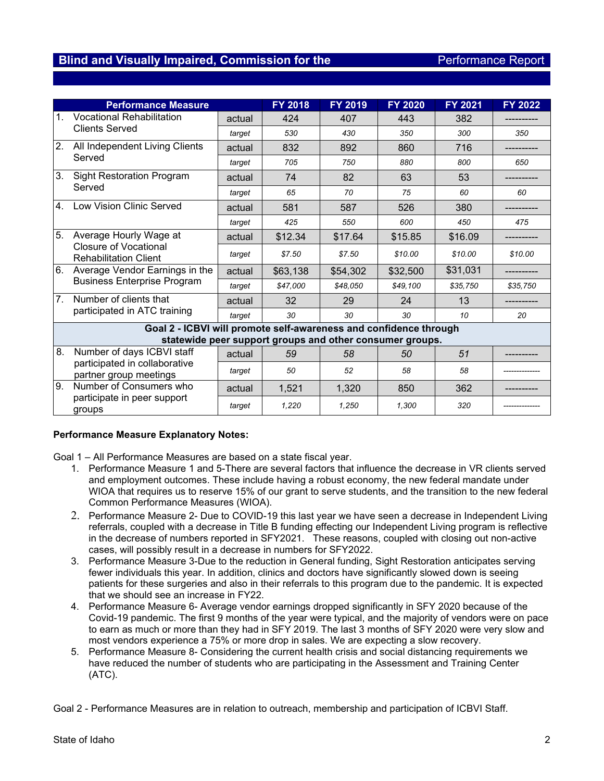## **Blind and Visually Impaired, Commission for the Equation Performance Report**

|                                                                                                                               | <b>Performance Measure</b>                                                             |        | FY 2018  | FY 2019  | <b>FY 2020</b> | FY 2021  | <b>FY 2022</b> |  |
|-------------------------------------------------------------------------------------------------------------------------------|----------------------------------------------------------------------------------------|--------|----------|----------|----------------|----------|----------------|--|
| $\mathbf{1}$ .                                                                                                                | <b>Vocational Rehabilitation</b><br><b>Clients Served</b>                              | actual | 424      | 407      | 443            | 382      |                |  |
|                                                                                                                               |                                                                                        | target | 530      | 430      | 350            | 300      | 350            |  |
| 2.                                                                                                                            | All Independent Living Clients<br>Served                                               | actual | 832      | 892      | 860            | 716      |                |  |
|                                                                                                                               |                                                                                        | target | 705      | 750      | 880            | 800      | 650            |  |
| 3.                                                                                                                            | <b>Sight Restoration Program</b><br>Served                                             | actual | 74       | 82       | 63             | 53       |                |  |
|                                                                                                                               |                                                                                        | target | 65       | 70       | 75             | 60       | 60             |  |
| 4.                                                                                                                            | <b>Low Vision Clinic Served</b>                                                        | actual | 581      | 587      | 526            | 380      |                |  |
|                                                                                                                               |                                                                                        | target | 425      | 550      | 600            | 450      | 475            |  |
| 5.                                                                                                                            | Average Hourly Wage at<br><b>Closure of Vocational</b><br><b>Rehabilitation Client</b> | actual | \$12.34  | \$17.64  | \$15.85        | \$16.09  |                |  |
|                                                                                                                               |                                                                                        | target | \$7.50   | \$7.50   | \$10.00        | \$10.00  | \$10.00        |  |
| 6.                                                                                                                            | Average Vendor Earnings in the<br><b>Business Enterprise Program</b>                   | actual | \$63,138 | \$54,302 | \$32,500       | \$31,031 |                |  |
|                                                                                                                               |                                                                                        | target | \$47,000 | \$48.050 | \$49,100       | \$35,750 | \$35,750       |  |
| $\overline{7}$ .                                                                                                              | Number of clients that<br>participated in ATC training                                 | actual | 32       | 29       | 24             | 13       |                |  |
|                                                                                                                               |                                                                                        | target | 30       | 30       | 30             | 10       | 20             |  |
| Goal 2 - ICBVI will promote self-awareness and confidence through<br>statewide peer support groups and other consumer groups. |                                                                                        |        |          |          |                |          |                |  |
| 8.                                                                                                                            | Number of days ICBVI staff<br>participated in collaborative<br>partner group meetings  | actual | 59       | 58       | 50             | 51       |                |  |
|                                                                                                                               |                                                                                        | target | 50       | 52       | 58             | 58       |                |  |
| l9.<br>groups                                                                                                                 | Number of Consumers who                                                                | actual | 1,521    | 1,320    | 850            | 362      |                |  |
|                                                                                                                               | participate in peer support                                                            | target | 1,220    | 1,250    | 1,300          | 320      |                |  |

### **Performance Measure Explanatory Notes:**

Goal 1 – All Performance Measures are based on a state fiscal year.

- 1. Performance Measure 1 and 5-There are several factors that influence the decrease in VR clients served and employment outcomes. These include having a robust economy, the new federal mandate under WIOA that requires us to reserve 15% of our grant to serve students, and the transition to the new federal Common Performance Measures (WIOA).
- 2. Performance Measure 2- Due to COVID-19 this last year we have seen a decrease in Independent Living referrals, coupled with a decrease in Title B funding effecting our Independent Living program is reflective in the decrease of numbers reported in SFY2021. These reasons, coupled with closing out non-active cases, will possibly result in a decrease in numbers for SFY2022.
- 3. Performance Measure 3-Due to the reduction in General funding, Sight Restoration anticipates serving fewer individuals this year. In addition, clinics and doctors have significantly slowed down is seeing patients for these surgeries and also in their referrals to this program due to the pandemic. It is expected that we should see an increase in FY22.
- 4. Performance Measure 6- Average vendor earnings dropped significantly in SFY 2020 because of the Covid-19 pandemic. The first 9 months of the year were typical, and the majority of vendors were on pace to earn as much or more than they had in SFY 2019. The last 3 months of SFY 2020 were very slow and most vendors experience a 75% or more drop in sales. We are expecting a slow recovery.
- 5. Performance Measure 8- Considering the current health crisis and social distancing requirements we have reduced the number of students who are participating in the Assessment and Training Center (ATC).

Goal 2 - Performance Measures are in relation to outreach, membership and participation of ICBVI Staff.